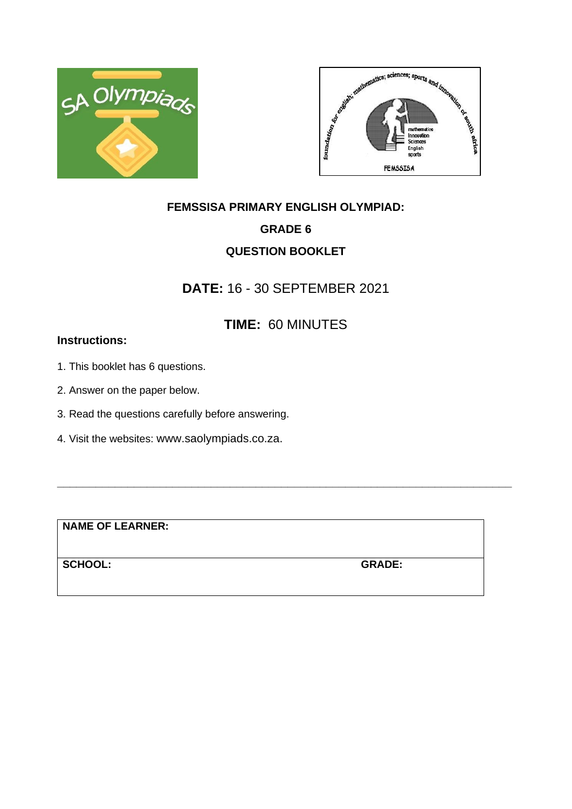



# **FEMSSISA PRIMARY ENGLISH OLYMPIAD: GRADE 6 QUESTION BOOKLET**

### **DATE:** 16 - 30 SEPTEMBER 2021

## **TIME:** 60 MINUTES

**\_\_\_\_\_\_\_\_\_\_\_\_\_\_\_\_\_\_\_\_\_\_\_\_\_\_\_\_\_\_\_\_\_\_\_\_\_\_\_\_\_\_\_\_\_\_\_\_\_\_\_\_\_\_\_\_\_\_\_\_\_\_\_\_\_\_\_\_\_\_\_**

### **Instructions:**

- 1. This booklet has 6 questions.
- 2. Answer on the paper below.
- 3. Read the questions carefully before answering.
- 4. Visit the websites: www.saolympiads.co.za.

**NAME OF LEARNER:**

**SCHOOL: GRADE:**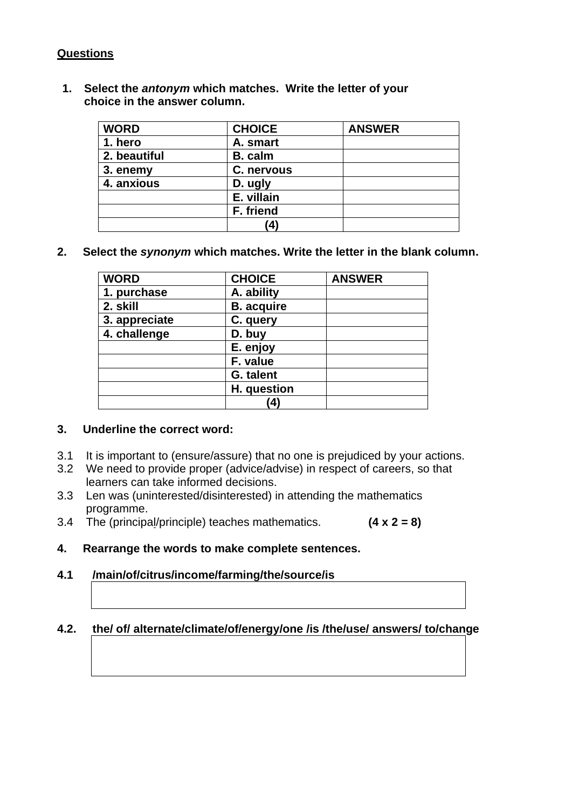### **Questions**

**1. Select the** *antonym* **which matches. Write the letter of your choice in the answer column.**

| <b>WORD</b>  | <b>CHOICE</b>  | <b>ANSWER</b> |
|--------------|----------------|---------------|
| 1. hero      | A. smart       |               |
| 2. beautiful | <b>B.</b> calm |               |
| 3. enemy     | C. nervous     |               |
| 4. anxious   | D. ugly        |               |
|              | E. villain     |               |
|              | F. friend      |               |
|              | $\mathbf{A}$   |               |

**2. Select the** *synonym* **which matches. Write the letter in the blank column.** 

| <b>WORD</b>   | <b>CHOICE</b>     | <b>ANSWER</b> |
|---------------|-------------------|---------------|
| 1. purchase   | A. ability        |               |
| 2. skill      | <b>B.</b> acquire |               |
| 3. appreciate | C. query          |               |
| 4. challenge  | D. buy            |               |
|               | E. enjoy          |               |
|               | F. value          |               |
|               | G. talent         |               |
|               | H. question       |               |
|               | 4                 |               |

#### **3. Underline the correct word:**

- 3.1 It is important to (ensure/assure) that no one is prejudiced by your actions.
- 3.2 We need to provide proper (advice/advise) in respect of careers, so that learners can take informed decisions.
- 3.3 Len was (uninterested/disinterested) in attending the mathematics programme.
- 3.4 The (principal/principle) teaches mathematics. **(4 x 2 = 8)**
- **4. Rearrange the words to make complete sentences.**
- **4.1 /main/of/citrus/income/farming/the/source/is**

#### **4.2. the/ of/ alternate/climate/of/energy/one /is /the/use/ answers/ to/change**